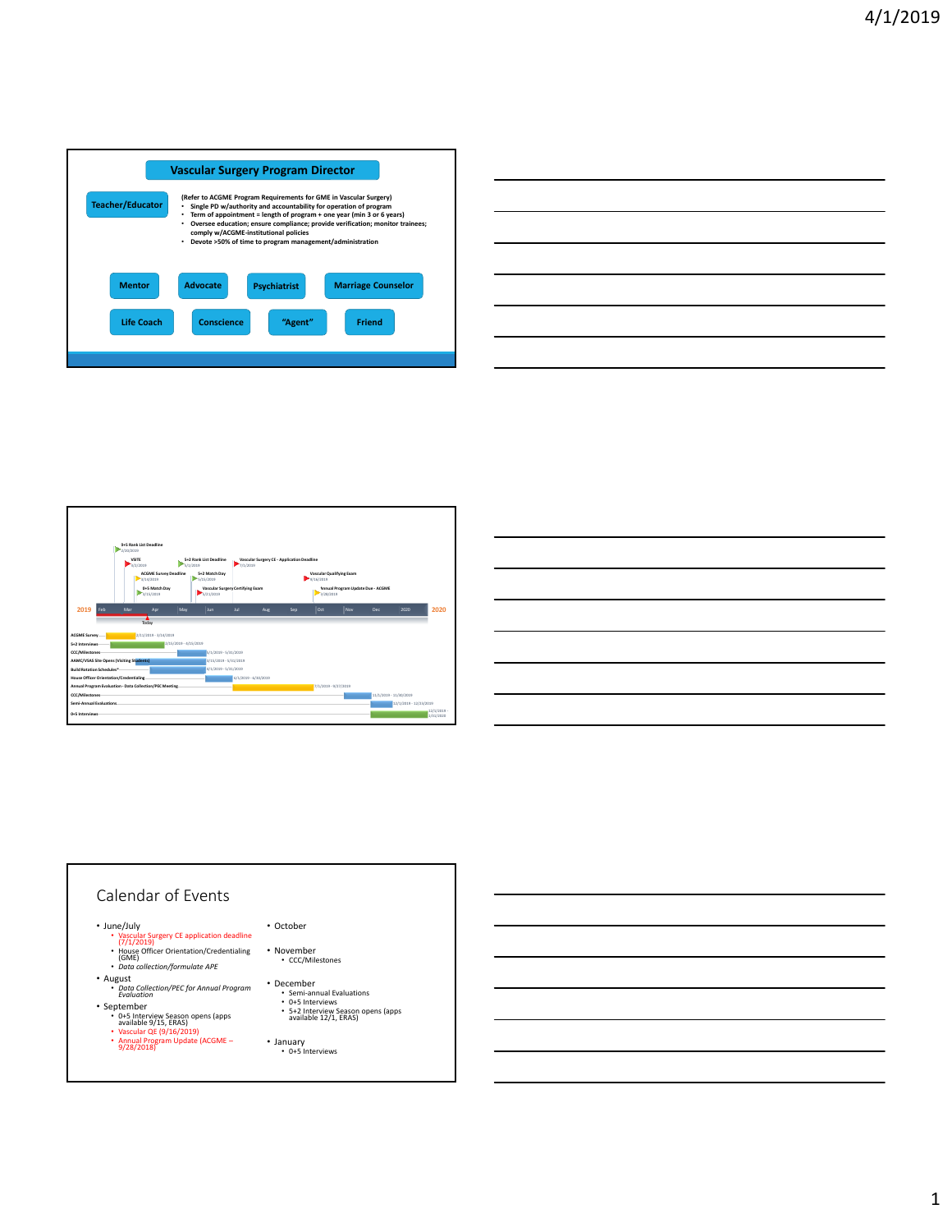